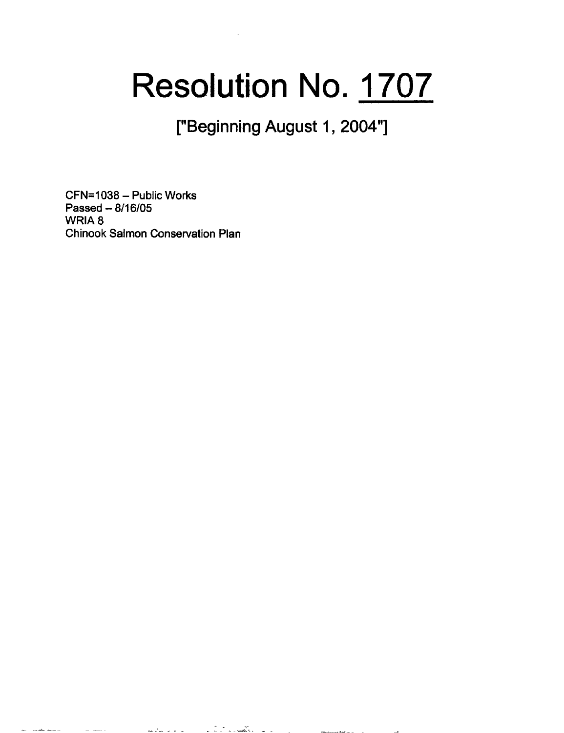## **Resolution** No. **1707**

["Beginning August 1, 2004"]

CFN=1038- Public Works Passed- 8/16/05 WRIA<sub>8</sub> Chinook Salmon Conservation Plan

a company and a company of the company of the company of the company of the company of the company of the company of the company of the company of the company of the company of the company of the company of the company of

 $\sim$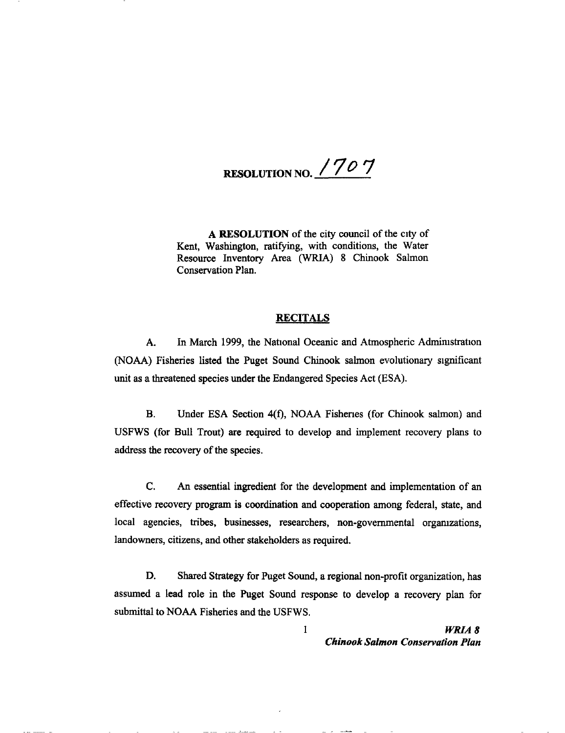RESOLUTION NO. *17* 0 7

A RESOLUTION of the city council of the city of Kent, Washington, ratifying, with conditions, the Water Resource Inventory Area (WRIA) 8 Chinook Salmon Conservation Plan.

## **RECITALS**

A. In March 1999, the National Oceanic and Atmospheric Administration (NOAA) Fisheries listed the Puget Sound Chinook salmon evolutionary significant unit as a threatened species under the Endangered Species Act (ESA).

B. Under ESA Section 4(f), NOAA Fishenes (for Chinook salmon) and USFWS (for Bull Trout) are required to develop and implement recovery plans to address the recovery of the species.

C. An essential ingredient for the development and implementation of an effective recovery program is coordination and cooperation among federal, state, and local agencies, tribes, businesses, researchers, non-governmental organizations, landowners, citizens, and other stakeholders as required.

D. Shared Strategy for Puget Sound, a regional non-profit organization, has assumed a lead role in the Puget Sound response to develop a recovery plan for submittal to NOAA Fisheries and the USFWS.

> I *WRIA8 Chinook Salmon Conservation Plan*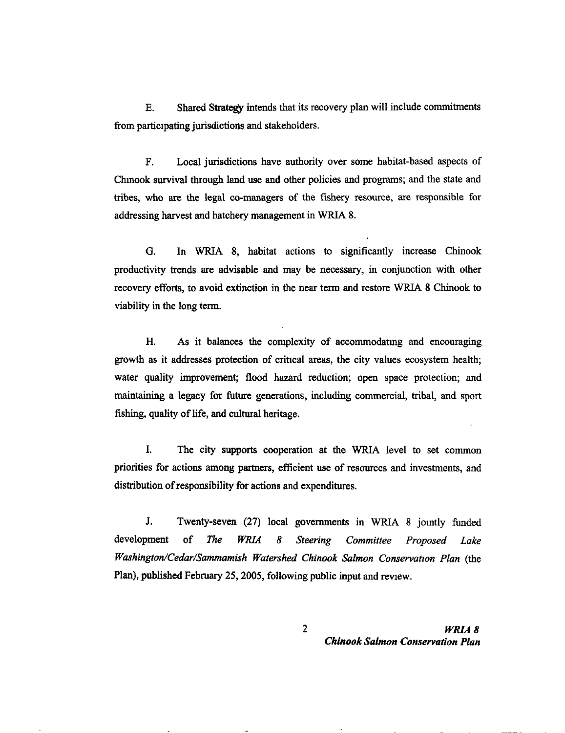E. Shared Strategy intends that its recovery plan will include commitments from participating jurisdictions and stakeholders.

F. Local jurisdictions have authority over some habitat-based aspects of Chmook survival through land use and other policies and programs; and the state and tribes, who are the legal co-managers of the fishery resource, are responsible for addressing harvest and hatchery management in WRIA 8.

G. In WRIA 8, habitat actions to significantly increase Chinook productivity trends are advisable and may be necessary, in conjunction with other recovery efforts, to avoid extinction in the near term and restore WRIA 8 Chinook to viability in the long term.

H. As it balances the complexity of accommodatmg and encouraging growth as it addresses protection of critical areas, the city values ecosystem health; water quality improvement; flood hazard reduction; open space protection; and maintaining a legacy for future generations, including commercial, tribal, and sport fishing, quality of life, and cultural heritage.

I. The city supports cooperation at the WRIA level to set common priorities for actions among partners, efficient use of resources and investments, and distribution of responsibility for actions and expenditures.

J. Twenty-seven (27) local governments in WRIA 8 jomtly funded development of *The WRlA 8 Steering Committee Proposed Lake Washington/Cedar/Sammamish Watershed Chinook Salmon Conservation Plan (the* Plan), published February 25, 2005, following public input and review.

> 2 *WRIA 8 Chinook Salmon Conservation Plan*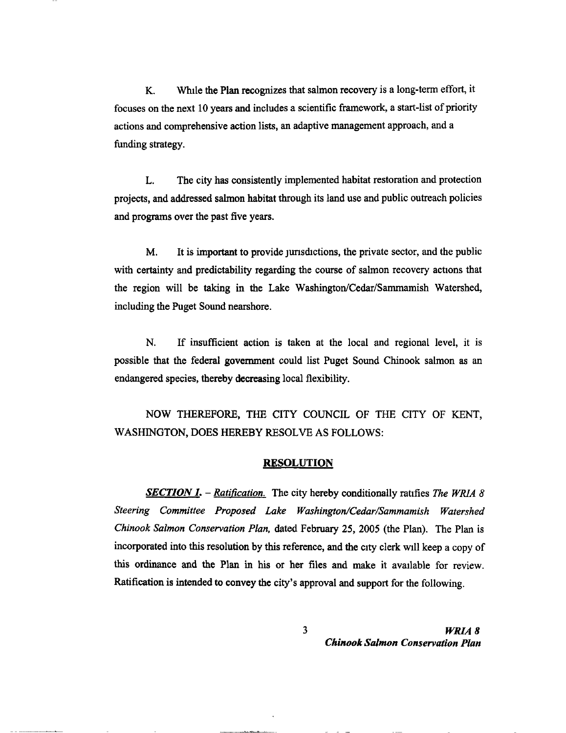K. Whtle the Plan recognizes that salmon recovery is a long-term effort, it focuses on the next 10 years and includes a scientific framework, a start-list of priority actions and comprehensive action lists, an adaptive management approach, and a funding strategy.

L. The city has consistently implemented habitat restoration and protection projects, and addressed salmon habitat through its land use and public outreach policies and programs over the past five years.

M. It is important to provide jurisdictions, the private sector, and the public with certainty and predictability regarding the course of salmon recovery actions that the region will be taking in the Lake Washington/Cedar/Sammamish Watershed, including the Puget Sound nearshore.

N. If insufficient action is taken at the local and regional level, it is possible that the federal government could list Puget Sound Chinook salmon as an endangered species, thereby decreasing local flexibility.

NOW THEREFORE, THE CITY COUNCIL OF THE CITY OF KENT, WASHINGTON, DOES HEREBY RESOLVE AS FOLLOWS:

## RESOLUTION

*SECTION 1.* - *Ratification.* The city hereby conditionally ratifies *The WRIA 8 Steering Committee Proposed Lake Washington/Cedar/Sammamish Watershed Chinook Salmon Conservation Plan,* dated February 25, 2005 (the Plan). The Plan is incorporated into this resolution by this reference, and the city clerk Will keep a copy of this ordinance and the Plan in his or her files and make it available for review. Ratification is intended to convey the city's approval and support for the following.

> 3 *WRIA 8 Chinook Salmon Conservation Plan*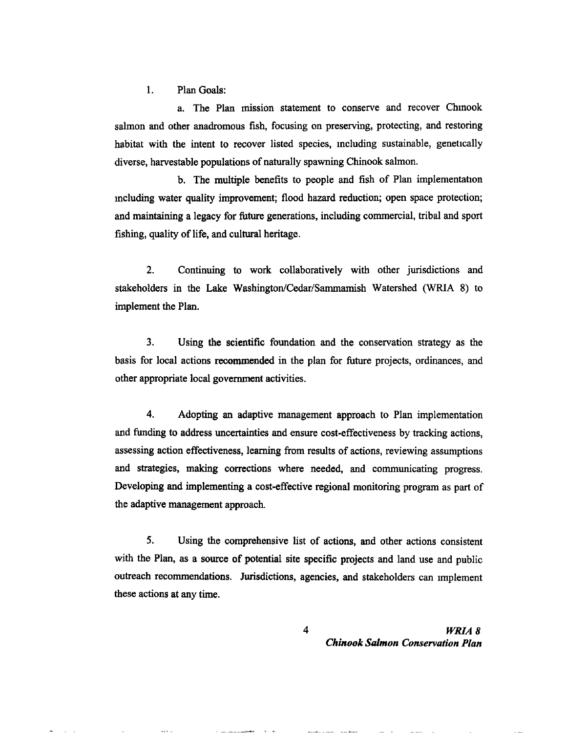1. Plan Goals:

a. The Plan mission statement to conserve and recover Chmook salmon and other anadromous fish, focusing on preserving, protecting, and restoring habitat with the intent to recover listed species, mcluding sustainable, genetically diverse, harvestable populations of naturally spawning Chinook salmon.

b. The multiple benefits to people and fish of Plan implementation mcluding water quality improvement; flood hazard reduction; open space protection; and maintaining a legacy for future generations, including commercial, tribal and sport fishing, quality of life, and cultural heritage.

2. Continuing to work collaboratively with other jurisdictions and stakeholders in the Lake Washington/Cedar/Sammamish Watershed (WRIA 8) to implement the Plan.

3. Using the scientific foundation and the conservation strategy as the basis for local actions recommended in the plan for future projects, ordinances, and other appropriate local government activities.

4. Adopting an adaptive management approach to Plan implementation and funding to address uncertainties and ensure cost-effectiveness by tracking actions, assessing action effectiveness, learning from results of actions, reviewing assumptions and strategies, making corrections where needed, and communicating progress. Developing and implementing a cost-effective regional monitoring program as part of the adaptive management approach.

*5.* Using the comprehensive list of actions, and other actions consistent with the Plan, as a source of potential site specific projects and land use and public outreach recommendations. Jurisdictions, agencies, and stakeholders can nnplement these actions at any time.

> 4 *WRIAB Chinook Stdmon Conservation Plan*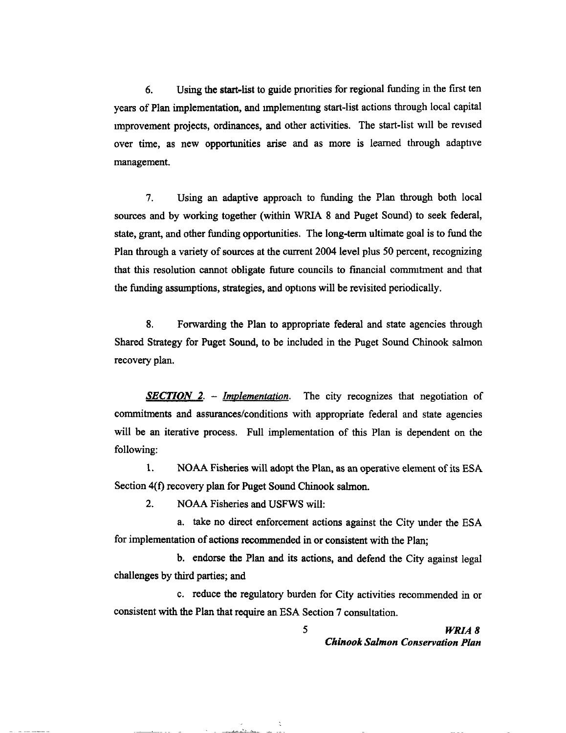6. Using the start-list to guide pnorities for regional funding in the first ten years of Plan implementation, and unplementmg start-list actions through local capital unprovement projects, ordinances, and other activities. The start-list will be revised over time, as new opportunities arise and as more is learned through adaptive management.

7. Using an adaptive approach to funding the Plan through both local sources and by working together (within WRIA 8 and Puget Sound) to seek federal, state, grant, and other funding opportunities. The long-term ultimate goal is to fund the Plan through a variety of sources at the current 2004 level plus 50 percent, recognizing that this resolution cannot obligate future councils to fmancial commttment and that the funding assumptions, strategies, and options will be revisited periodically.

8. Forwarding the Plan to appropriate federal and state agencies through Shared Strategy for Puget Sound, to be included in the Puget Sound Chinook salmon recovery plan.

*SECTION 2.* - *Implementation.* The city recognizes that negotiation of commitments and assurances/conditions with appropriate federal and state agencies will be an iterative process. Full implementation of this Plan is dependent on the following:

1. NOAA Fisheries will adopt the Plan, as an operative element of its ESA Section 4(f) recovery plan for Puget Sound Chinook salmon.

2. NOAA Fisheries and USFWS will:

<u>Similar and the same</u>

a. take no direct enforcement actions against the City under the ESA for implementation of actions recommended in or consistent with the Plan;

b. endorse the Plan and its actions, and defend the City against legal challenges by third parties; and

c. reduce the regulatory burden for City activities recommended in or consistent with the Plan that require an ESA Section 7 consultation.

> 5 *WRIA 8 Chinook Salmon Conservation Plan*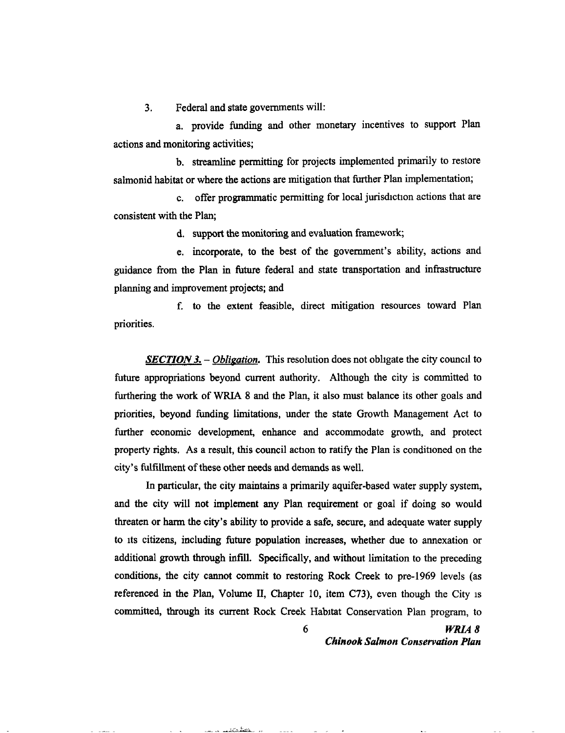3. Federal and state governments will:

a. provide funding and other monetary incentives to support Plan actions and monitoring activities;

b. streamline permitting for projects implemented primarily to restore salmonid habitat or where the actions are mitigation that further Plan implementation;

c. offer programmatic permitting for local jurisdiction actions that are consistent with the Plan;

d. support the monitoring and evaluation framework;

e. incorporate, to the best of the government's ability, actions and guidance from the Plan in future federal and state transportation and infrastructure planning and improvement projects; and

f. to the extent feasible, direct mitigation resources toward Plan priorities.

**SECTION 3.** – *Obligation*. This resolution does not obligate the city council to future appropriations beyond current authority. Although the city is committed to furthering the work of WRIA 8 and the Plan, it also must balance its other goals and priorities, beyond funding limitations, under the state Growth Management Act to further economic development, enhance and accommodate growth, and protect property rights. As a result, this council action to ratify the Plan is conditioned on the city's fulfillment of these other needs and demands as well.

In particular, the city maintains a primarily aquifer-based water supply system, and the city will not implement any Plan requirement or goal if doing so would threaten or harm the city's ability to provide a safe, secure, and adequate water supply to Its citizens, including future population increases, whether due to annexation or additional growth through infill. Specifically, and without limitation to the preceding conditions, the city cannot commit to restoring Rock Creek to pre-1969 levels (as referenced in the Plan, Volume II, Chapter 10, item C73), even though the City IS committed, through its current Rock Creek Habitat Conservation Plan program, to

6 *WRIA8 Chinook Salmon Conservation Plan*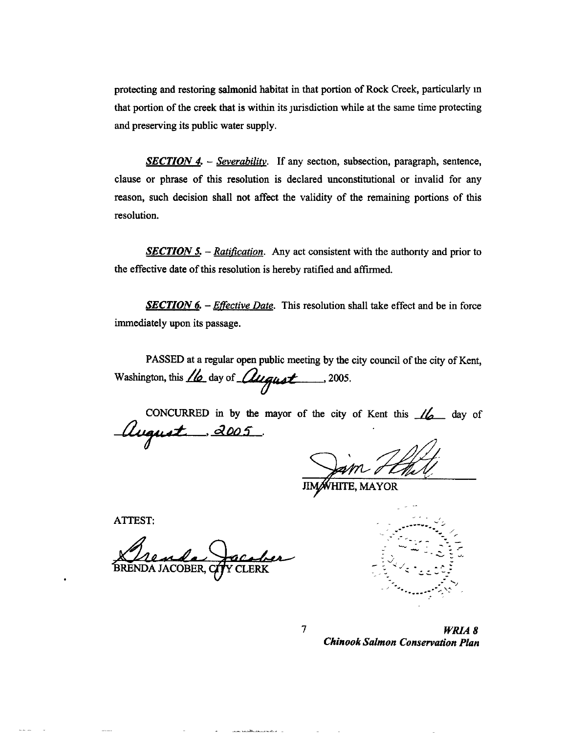protecting and restoring salmonid habitat in that portion of Rock Creek, particularly m that portion of the creek that is within its jurisdiction while at the same time protecting and preserving its public water supply.

**SECTION 4.** – *Severability*. If any section, subsection, paragraph, sentence, clause or phrase of this resolution is declared unconstitutional or invalid for any reason, such decision shall not affect the validity of the remaining portions of this resolution.

*SECTION 5. - Ratification.* Any act consistent with the authority and prior to the effective date of this resolution is hereby ratified and affirmed.

*SECTION 6. - Effective Date.* This resolution shall take effect and be in force immediately upon its passage.

PASSED at a regular open public meeting by the city council of the city of Kent, Washington, this  $\mu$  day of  $\mu$ <sub>quot</sub> ..., 2005.

CONCURRED in by the mayor of the city of Kent this  $\frac{1}{6}$  day of  $^{'}$ ugust  $^{'}$  2005.

7

**HTE, MAYOR** 

ATTEST:

Rende Jacober



*WRIAB Chinook Salmon Conservation Plan*